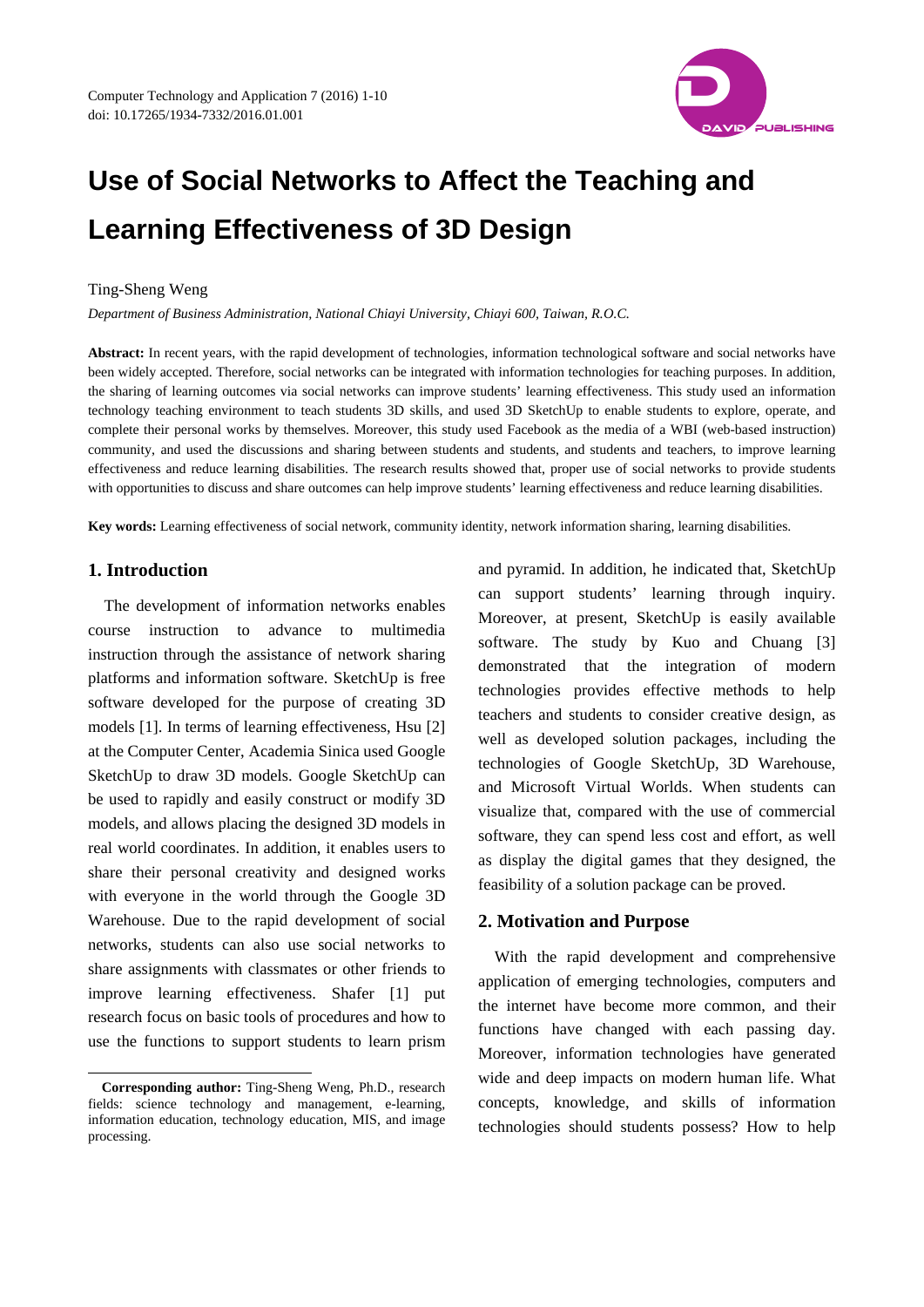

# **Use of Social Networks to Affect the Teaching and Learning Effectiveness of 3D Design**

## Ting-Sheng Weng

*Department of Business Administration, National Chiayi University, Chiayi 600, Taiwan, R.O.C.* 

Abstract: In recent years, with the rapid development of technologies, information technological software and social networks have been widely accepted. Therefore, social networks can be integrated with information technologies for teaching purposes. In addition, the sharing of learning outcomes via social networks can improve students' learning effectiveness. This study used an information technology teaching environment to teach students 3D skills, and used 3D SketchUp to enable students to explore, operate, and complete their personal works by themselves. Moreover, this study used Facebook as the media of a WBI (web-based instruction) community, and used the discussions and sharing between students and students, and students and teachers, to improve learning effectiveness and reduce learning disabilities. The research results showed that, proper use of social networks to provide students with opportunities to discuss and share outcomes can help improve students' learning effectiveness and reduce learning disabilities.

**Key words:** Learning effectiveness of social network, community identity, network information sharing, learning disabilities.

# **1. Introduction**

 $\overline{\phantom{a}}$ 

The development of information networks enables course instruction to advance to multimedia instruction through the assistance of network sharing platforms and information software. SketchUp is free software developed for the purpose of creating 3D models [1]. In terms of learning effectiveness, Hsu [2] at the Computer Center, Academia Sinica used Google SketchUp to draw 3D models. Google SketchUp can be used to rapidly and easily construct or modify 3D models, and allows placing the designed 3D models in real world coordinates. In addition, it enables users to share their personal creativity and designed works with everyone in the world through the Google 3D Warehouse. Due to the rapid development of social networks, students can also use social networks to share assignments with classmates or other friends to improve learning effectiveness. Shafer [1] put research focus on basic tools of procedures and how to use the functions to support students to learn prism

and pyramid. In addition, he indicated that, SketchUp can support students' learning through inquiry. Moreover, at present, SketchUp is easily available software. The study by Kuo and Chuang [3] demonstrated that the integration of modern technologies provides effective methods to help teachers and students to consider creative design, as well as developed solution packages, including the technologies of Google SketchUp, 3D Warehouse, and Microsoft Virtual Worlds. When students can visualize that, compared with the use of commercial software, they can spend less cost and effort, as well as display the digital games that they designed, the feasibility of a solution package can be proved.

## **2. Motivation and Purpose**

With the rapid development and comprehensive application of emerging technologies, computers and the internet have become more common, and their functions have changed with each passing day. Moreover, information technologies have generated wide and deep impacts on modern human life. What concepts, knowledge, and skills of information technologies should students possess? How to help

**Corresponding author:** Ting-Sheng Weng, Ph.D., research fields: science technology and management, e-learning, information education, technology education, MIS, and image processing.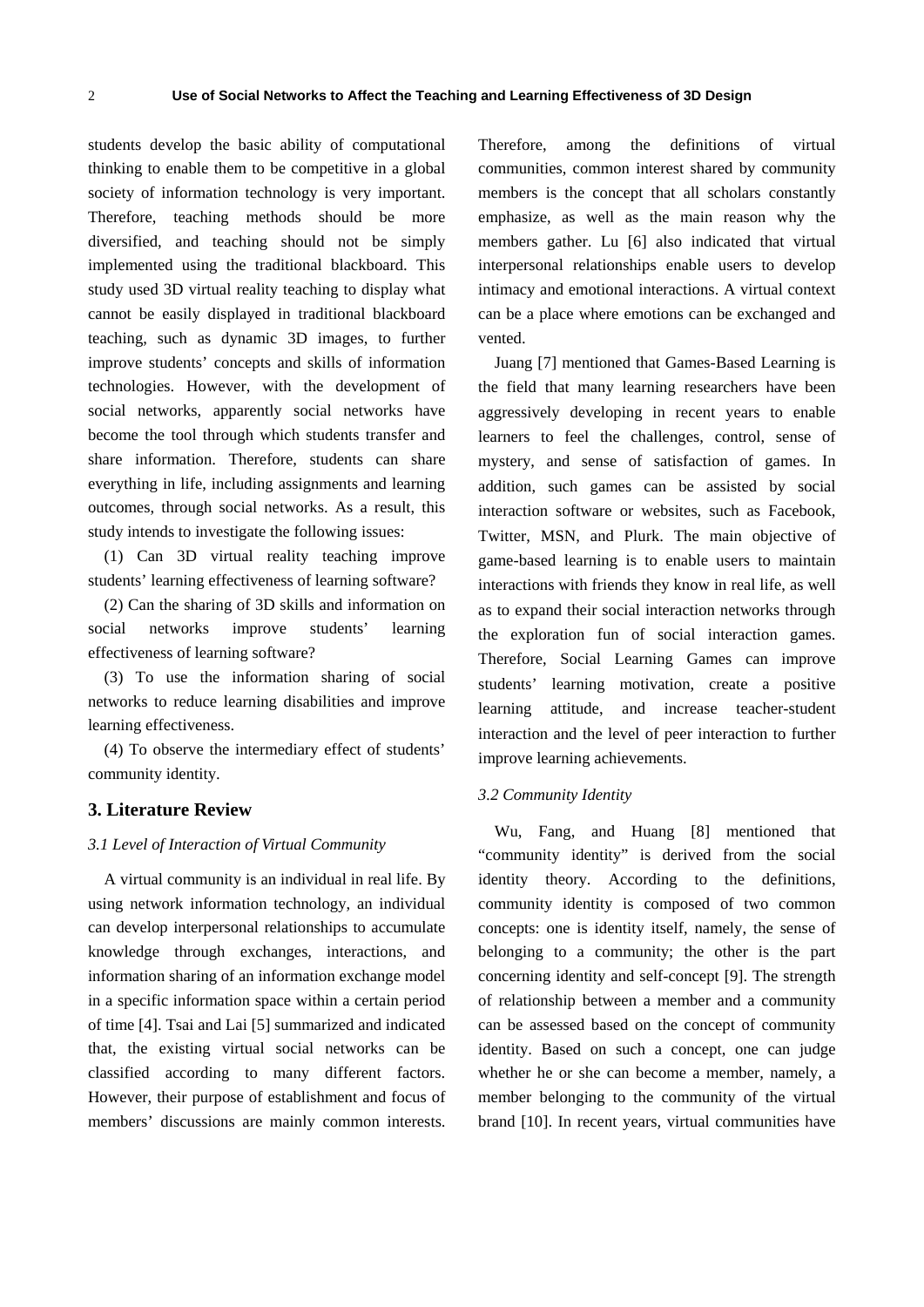students develop the basic ability of computational thinking to enable them to be competitive in a global society of information technology is very important. Therefore, teaching methods should be more diversified, and teaching should not be simply implemented using the traditional blackboard. This study used 3D virtual reality teaching to display what cannot be easily displayed in traditional blackboard teaching, such as dynamic 3D images, to further improve students' concepts and skills of information technologies. However, with the development of social networks, apparently social networks have become the tool through which students transfer and share information. Therefore, students can share everything in life, including assignments and learning outcomes, through social networks. As a result, this study intends to investigate the following issues:

(1) Can 3D virtual reality teaching improve students' learning effectiveness of learning software?

(2) Can the sharing of 3D skills and information on social networks improve students' learning effectiveness of learning software?

(3) To use the information sharing of social networks to reduce learning disabilities and improve learning effectiveness.

(4) To observe the intermediary effect of students' community identity.

#### **3. Literature Review**

#### *3.1 Level of Interaction of Virtual Community*

A virtual community is an individual in real life. By using network information technology, an individual can develop interpersonal relationships to accumulate knowledge through exchanges, interactions, and information sharing of an information exchange model in a specific information space within a certain period of time [4]. Tsai and Lai [5] summarized and indicated that, the existing virtual social networks can be classified according to many different factors. However, their purpose of establishment and focus of members' discussions are mainly common interests.

Therefore, among the definitions of virtual communities, common interest shared by community members is the concept that all scholars constantly emphasize, as well as the main reason why the members gather. Lu [6] also indicated that virtual interpersonal relationships enable users to develop intimacy and emotional interactions. A virtual context can be a place where emotions can be exchanged and vented.

Juang [7] mentioned that Games-Based Learning is the field that many learning researchers have been aggressively developing in recent years to enable learners to feel the challenges, control, sense of mystery, and sense of satisfaction of games. In addition, such games can be assisted by social interaction software or websites, such as Facebook, Twitter, MSN, and Plurk. The main objective of game-based learning is to enable users to maintain interactions with friends they know in real life, as well as to expand their social interaction networks through the exploration fun of social interaction games. Therefore, Social Learning Games can improve students' learning motivation, create a positive learning attitude, and increase teacher-student interaction and the level of peer interaction to further improve learning achievements.

#### *3.2 Community Identity*

Wu, Fang, and Huang [8] mentioned that "community identity" is derived from the social identity theory. According to the definitions, community identity is composed of two common concepts: one is identity itself, namely, the sense of belonging to a community; the other is the part concerning identity and self-concept [9]. The strength of relationship between a member and a community can be assessed based on the concept of community identity. Based on such a concept, one can judge whether he or she can become a member, namely, a member belonging to the community of the virtual brand [10]. In recent years, virtual communities have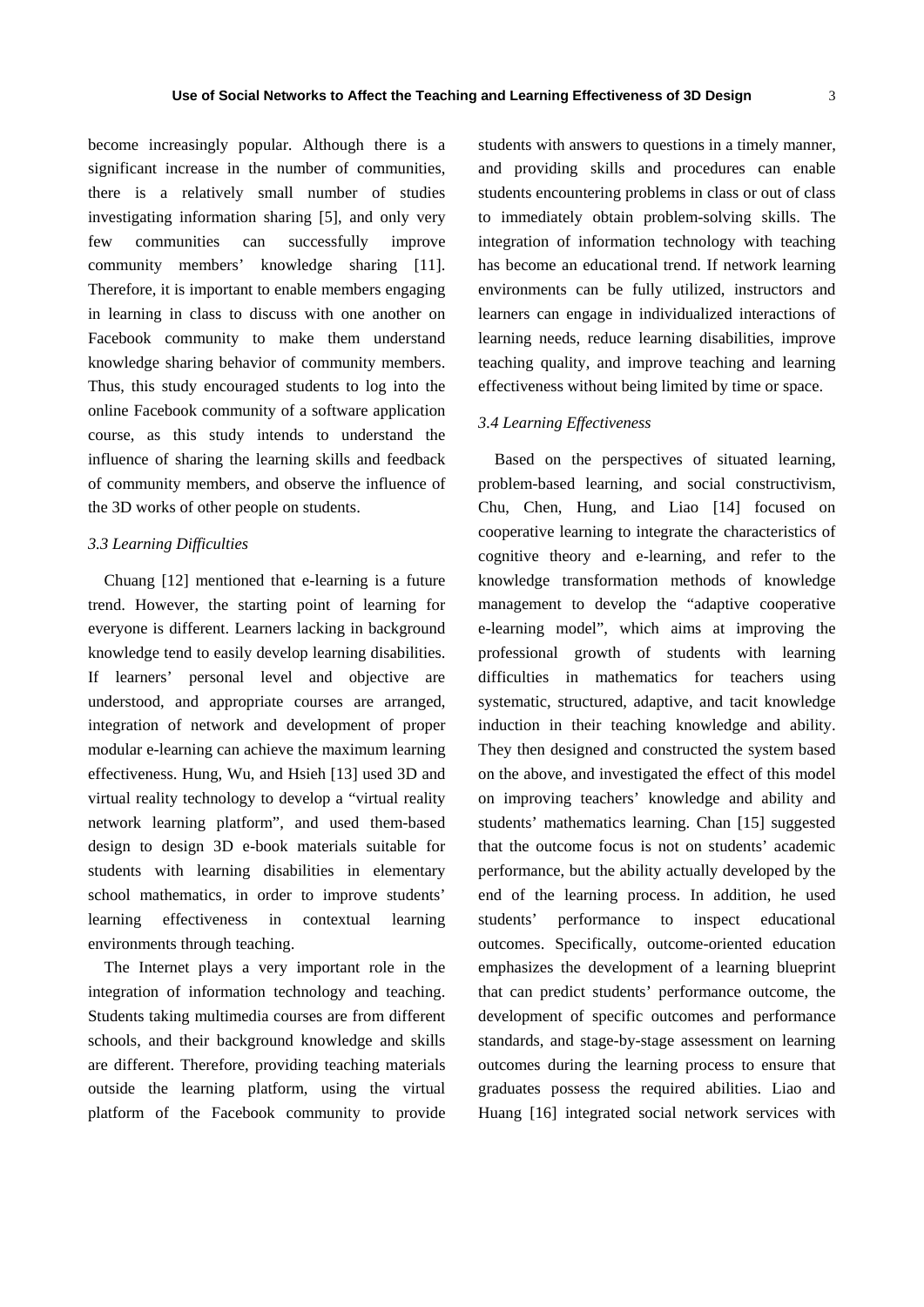become increasingly popular. Although there is a significant increase in the number of communities, there is a relatively small number of studies investigating information sharing [5], and only very few communities can successfully improve community members' knowledge sharing [11]. Therefore, it is important to enable members engaging in learning in class to discuss with one another on Facebook community to make them understand knowledge sharing behavior of community members. Thus, this study encouraged students to log into the online Facebook community of a software application course, as this study intends to understand the influence of sharing the learning skills and feedback of community members, and observe the influence of the 3D works of other people on students.

# *3.3 Learning Difficulties*

Chuang [12] mentioned that e-learning is a future trend. However, the starting point of learning for everyone is different. Learners lacking in background knowledge tend to easily develop learning disabilities. If learners' personal level and objective are understood, and appropriate courses are arranged, integration of network and development of proper modular e-learning can achieve the maximum learning effectiveness. Hung, Wu, and Hsieh [13] used 3D and virtual reality technology to develop a "virtual reality network learning platform", and used them-based design to design 3D e-book materials suitable for students with learning disabilities in elementary school mathematics, in order to improve students' learning effectiveness in contextual learning environments through teaching.

The Internet plays a very important role in the integration of information technology and teaching. Students taking multimedia courses are from different schools, and their background knowledge and skills are different. Therefore, providing teaching materials outside the learning platform, using the virtual platform of the Facebook community to provide

students with answers to questions in a timely manner, and providing skills and procedures can enable students encountering problems in class or out of class to immediately obtain problem-solving skills. The integration of information technology with teaching has become an educational trend. If network learning environments can be fully utilized, instructors and learners can engage in individualized interactions of learning needs, reduce learning disabilities, improve teaching quality, and improve teaching and learning effectiveness without being limited by time or space.

# *3.4 Learning Effectiveness*

Based on the perspectives of situated learning, problem-based learning, and social constructivism, Chu, Chen, Hung, and Liao [14] focused on cooperative learning to integrate the characteristics of cognitive theory and e-learning, and refer to the knowledge transformation methods of knowledge management to develop the "adaptive cooperative e-learning model", which aims at improving the professional growth of students with learning difficulties in mathematics for teachers using systematic, structured, adaptive, and tacit knowledge induction in their teaching knowledge and ability. They then designed and constructed the system based on the above, and investigated the effect of this model on improving teachers' knowledge and ability and students' mathematics learning. Chan [15] suggested that the outcome focus is not on students' academic performance, but the ability actually developed by the end of the learning process. In addition, he used students' performance to inspect educational outcomes. Specifically, outcome-oriented education emphasizes the development of a learning blueprint that can predict students' performance outcome, the development of specific outcomes and performance standards, and stage-by-stage assessment on learning outcomes during the learning process to ensure that graduates possess the required abilities. Liao and Huang [16] integrated social network services with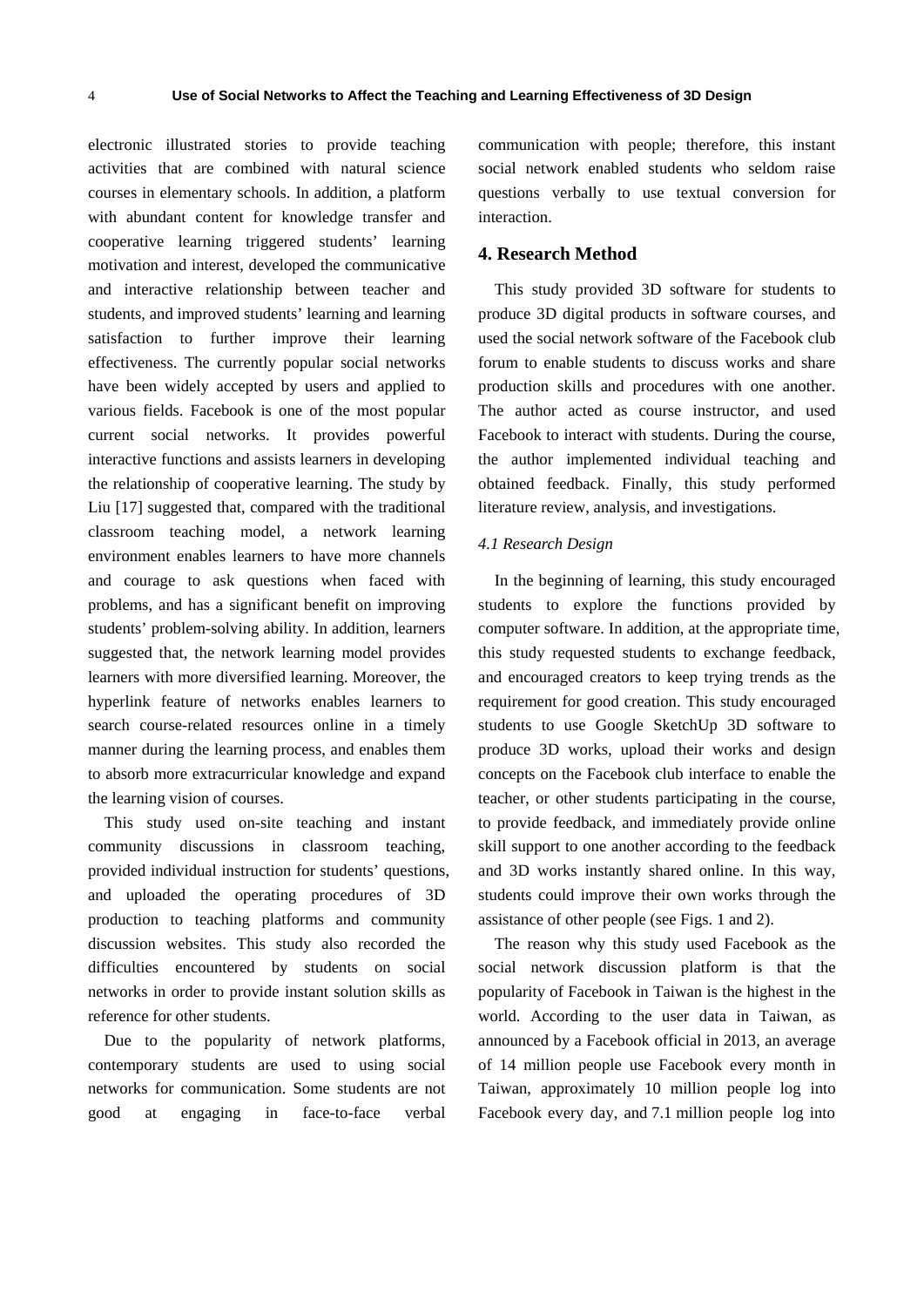electronic illustrated stories to provide teaching activities that are combined with natural science courses in elementary schools. In addition, a platform with abundant content for knowledge transfer and cooperative learning triggered students' learning motivation and interest, developed the communicative and interactive relationship between teacher and students, and improved students' learning and learning satisfaction to further improve their learning effectiveness. The currently popular social networks have been widely accepted by users and applied to various fields. Facebook is one of the most popular current social networks. It provides powerful interactive functions and assists learners in developing the relationship of cooperative learning. The study by Liu [17] suggested that, compared with the traditional classroom teaching model, a network learning environment enables learners to have more channels and courage to ask questions when faced with problems, and has a significant benefit on improving students' problem-solving ability. In addition, learners suggested that, the network learning model provides learners with more diversified learning. Moreover, the hyperlink feature of networks enables learners to search course-related resources online in a timely manner during the learning process, and enables them to absorb more extracurricular knowledge and expand the learning vision of courses.

This study used on-site teaching and instant community discussions in classroom teaching, provided individual instruction for students' questions, and uploaded the operating procedures of 3D production to teaching platforms and community discussion websites. This study also recorded the difficulties encountered by students on social networks in order to provide instant solution skills as reference for other students.

Due to the popularity of network platforms, contemporary students are used to using social networks for communication. Some students are not good at engaging in face-to-face verbal communication with people; therefore, this instant social network enabled students who seldom raise questions verbally to use textual conversion for interaction.

# **4. Research Method**

This study provided 3D software for students to produce 3D digital products in software courses, and used the social network software of the Facebook club forum to enable students to discuss works and share production skills and procedures with one another. The author acted as course instructor, and used Facebook to interact with students. During the course, the author implemented individual teaching and obtained feedback. Finally, this study performed literature review, analysis, and investigations.

#### *4.1 Research Design*

In the beginning of learning, this study encouraged students to explore the functions provided by computer software. In addition, at the appropriate time, this study requested students to exchange feedback, and encouraged creators to keep trying trends as the requirement for good creation. This study encouraged students to use Google SketchUp 3D software to produce 3D works, upload their works and design concepts on the Facebook club interface to enable the teacher, or other students participating in the course, to provide feedback, and immediately provide online skill support to one another according to the feedback and 3D works instantly shared online. In this way, students could improve their own works through the assistance of other people (see Figs. 1 and 2).

The reason why this study used Facebook as the social network discussion platform is that the popularity of Facebook in Taiwan is the highest in the world. According to the user data in Taiwan, as announced by a Facebook official in 2013, an average of 14 million people use Facebook every month in Taiwan, approximately 10 million people log into Facebook every day, and 7.1 million people log into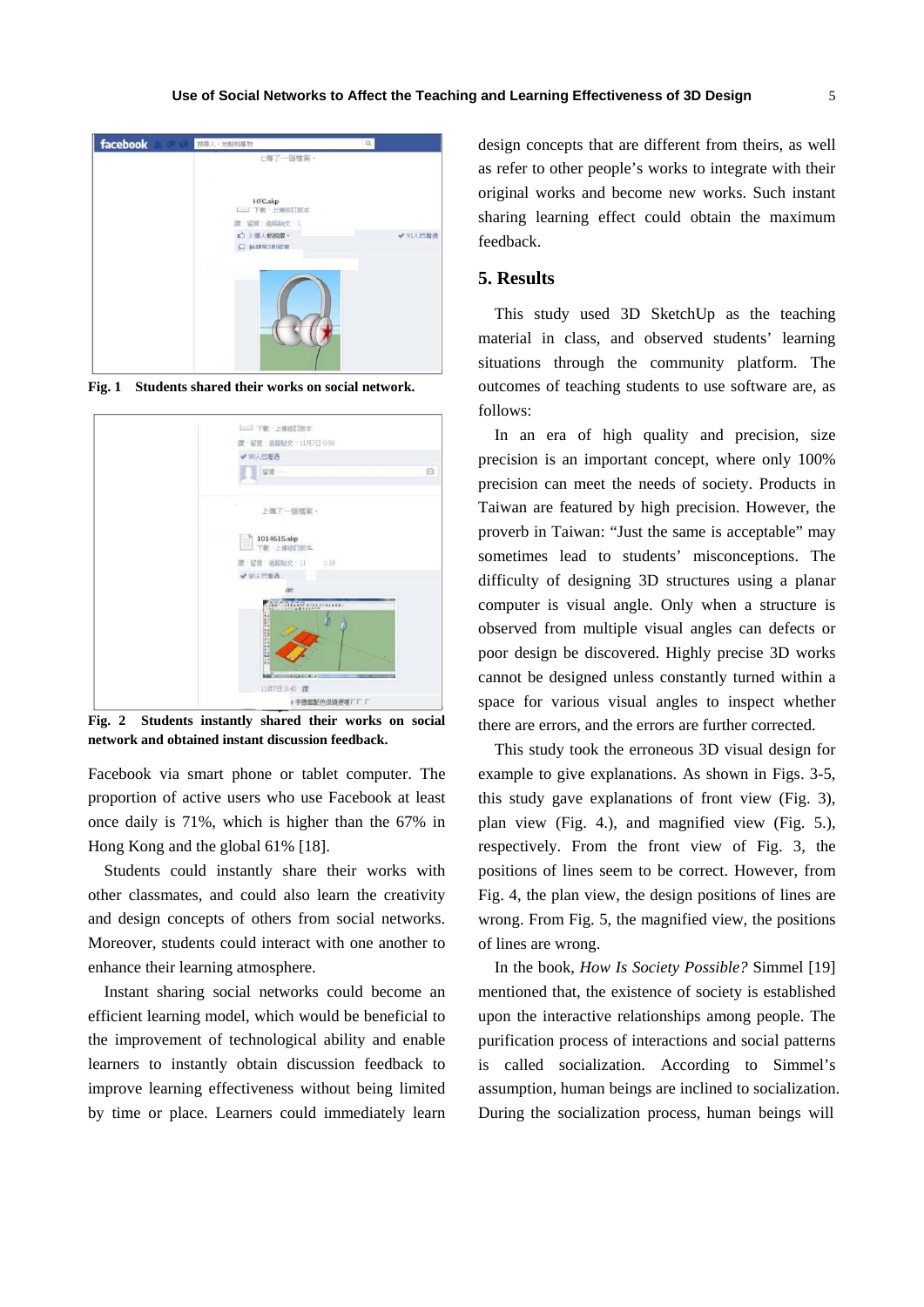

**Fig. 1 Students shared their works on social network.** 



**Fig. 2 Students instantly shared their works on social network and obtained instant discussion feedback.** 

Facebook via smart phone or tablet computer. The proportion of active users who use Facebook at least once daily is 71%, which is higher than the 67% in Hong Kong and the global 61% [18].

Students could instantly share their works with other classmates, and could also learn the creativity and design concepts of others from social networks. Moreover, students could interact with one another to enhance their learning atmosphere.

Instant sharing social networks could become an efficient learning model, which would be beneficial to the improvement of technological ability and enable learners to instantly obtain discussion feedback to improve learning effectiveness without being limited by time or place. Learners could immediately learn design concepts that are different from theirs, as well as refer to other people's works to integrate with their original works and become new works. Such instant sharing learning effect could obtain the maximum feedback.

#### **5. Results**

This study used 3D SketchUp as the teaching material in class, and observed students' learning situations through the community platform. The outcomes of teaching students to use software are, as follows:

In an era of high quality and precision, size precision is an important concept, where only 100% precision can meet the needs of society. Products in Taiwan are featured by high precision. However, the proverb in Taiwan: "Just the same is acceptable" may sometimes lead to students' misconceptions. The difficulty of designing 3D structures using a planar computer is visual angle. Only when a structure is observed from multiple visual angles can defects or poor design be discovered. Highly precise 3D works cannot be designed unless constantly turned within a space for various visual angles to inspect whether there are errors, and the errors are further corrected.

This study took the erroneous 3D visual design for example to give explanations. As shown in Figs. 3-5, this study gave explanations of front view (Fig. 3), plan view (Fig. 4.), and magnified view (Fig. 5.), respectively. From the front view of Fig. 3, the positions of lines seem to be correct. However, from Fig. 4, the plan view, the design positions of lines are wrong. From Fig. 5, the magnified view, the positions of lines are wrong.

In the book, *How Is Society Possible?* Simmel [19] mentioned that, the existence of society is established upon the interactive relationships among people. The purification process of interactions and social patterns is called socialization. According to Simmel's assumption, human beings are inclined to socialization. During the socialization process, human beings will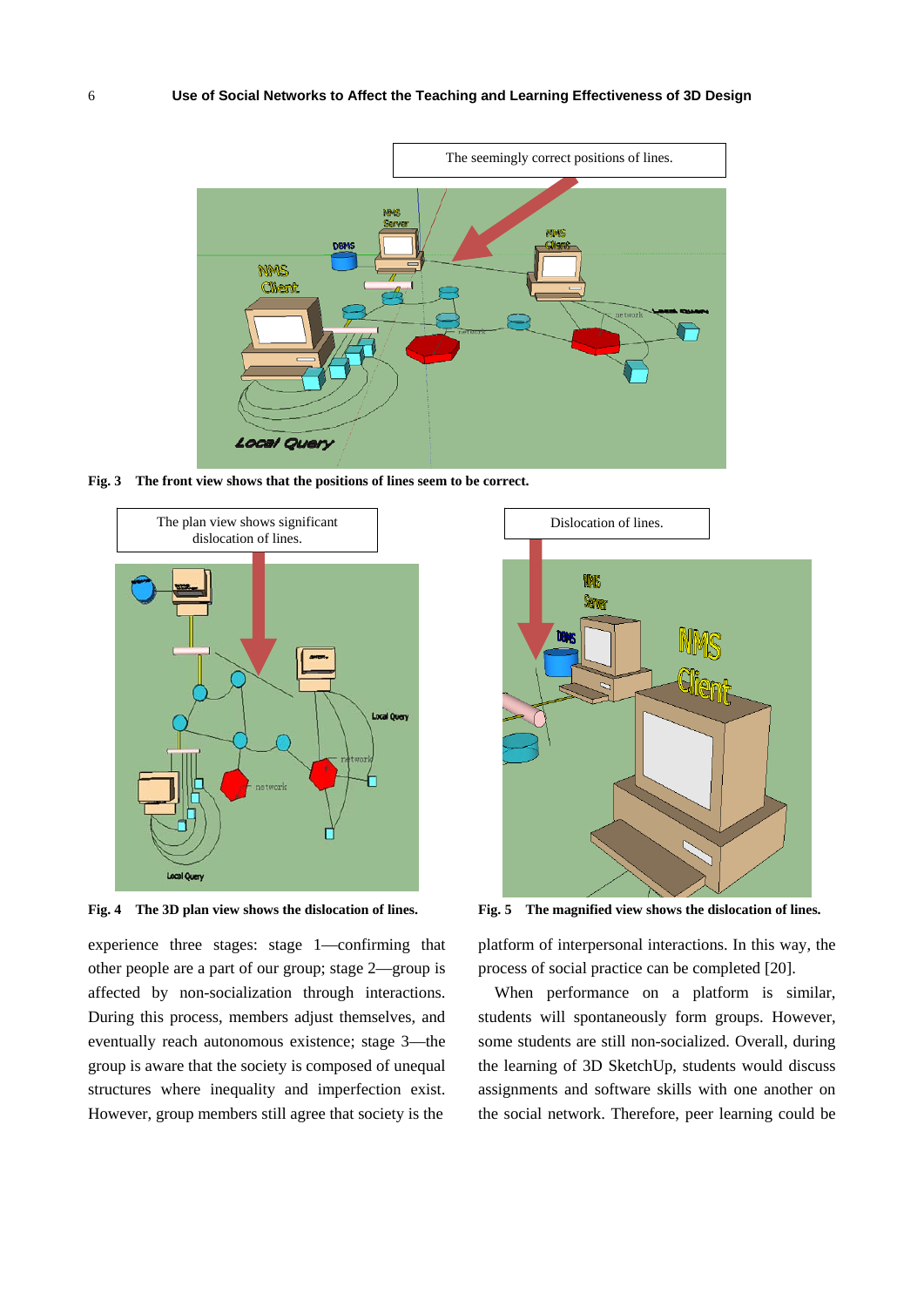

**Fig. 3 The front view shows that the positions of lines seem to be correct.** 



**Fig. 4 The 3D plan view shows the dislocation of lines.** 

experience three stages: stage 1—confirming that other people are a part of our group; stage 2—group is affected by non-socialization through interactions. During this process, members adjust themselves, and eventually reach autonomous existence; stage 3—the group is aware that the society is composed of unequal structures where inequality and imperfection exist. However, group members still agree that society is the



**Fig. 5 The magnified view shows the dislocation of lines.** 

platform of interpersonal interactions. In this way, the process of social practice can be completed [20].

When performance on a platform is similar, students will spontaneously form groups. However, some students are still non-socialized. Overall, during the learning of 3D SketchUp, students would discuss assignments and software skills with one another on the social network. Therefore, peer learning could be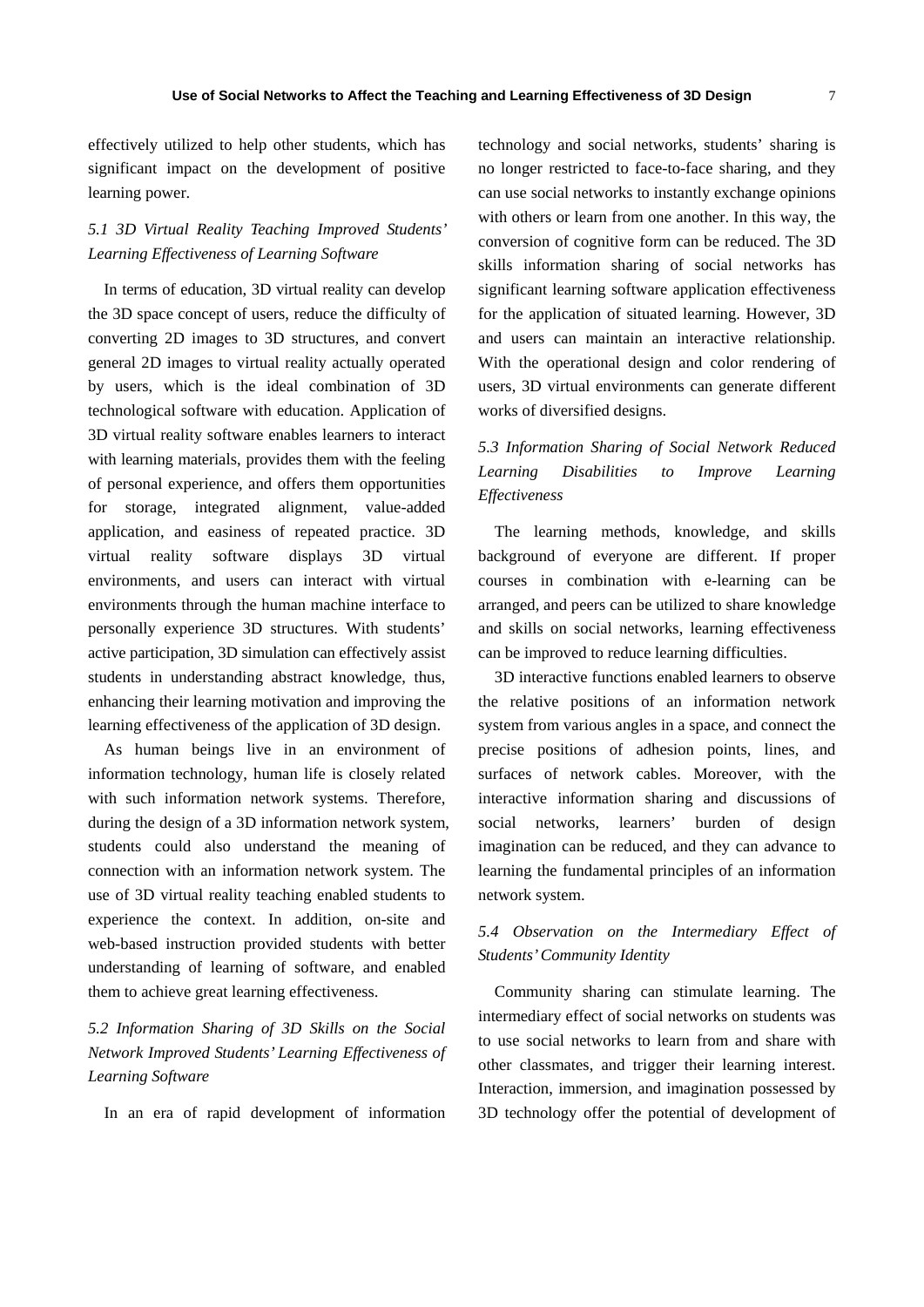7

effectively utilized to help other students, which has significant impact on the development of positive learning power.

# *5.1 3D Virtual Reality Teaching Improved Students' Learning Effectiveness of Learning Software*

In terms of education, 3D virtual reality can develop the 3D space concept of users, reduce the difficulty of converting 2D images to 3D structures, and convert general 2D images to virtual reality actually operated by users, which is the ideal combination of 3D technological software with education. Application of 3D virtual reality software enables learners to interact with learning materials, provides them with the feeling of personal experience, and offers them opportunities for storage, integrated alignment, value-added application, and easiness of repeated practice. 3D virtual reality software displays 3D virtual environments, and users can interact with virtual environments through the human machine interface to personally experience 3D structures. With students' active participation, 3D simulation can effectively assist students in understanding abstract knowledge, thus, enhancing their learning motivation and improving the learning effectiveness of the application of 3D design.

As human beings live in an environment of information technology, human life is closely related with such information network systems. Therefore, during the design of a 3D information network system, students could also understand the meaning of connection with an information network system. The use of 3D virtual reality teaching enabled students to experience the context. In addition, on-site and web-based instruction provided students with better understanding of learning of software, and enabled them to achieve great learning effectiveness.

# *5.2 Information Sharing of 3D Skills on the Social Network Improved Students' Learning Effectiveness of Learning Software*

In an era of rapid development of information

technology and social networks, students' sharing is no longer restricted to face-to-face sharing, and they can use social networks to instantly exchange opinions with others or learn from one another. In this way, the conversion of cognitive form can be reduced. The 3D skills information sharing of social networks has significant learning software application effectiveness for the application of situated learning. However, 3D and users can maintain an interactive relationship. With the operational design and color rendering of users, 3D virtual environments can generate different works of diversified designs.

# *5.3 Information Sharing of Social Network Reduced Learning Disabilities to Improve Learning Effectiveness*

The learning methods, knowledge, and skills background of everyone are different. If proper courses in combination with e-learning can be arranged, and peers can be utilized to share knowledge and skills on social networks, learning effectiveness can be improved to reduce learning difficulties.

3D interactive functions enabled learners to observe the relative positions of an information network system from various angles in a space, and connect the precise positions of adhesion points, lines, and surfaces of network cables. Moreover, with the interactive information sharing and discussions of social networks, learners' burden of design imagination can be reduced, and they can advance to learning the fundamental principles of an information network system.

# *5.4 Observation on the Intermediary Effect of Students' Community Identity*

Community sharing can stimulate learning. The intermediary effect of social networks on students was to use social networks to learn from and share with other classmates, and trigger their learning interest. Interaction, immersion, and imagination possessed by 3D technology offer the potential of development of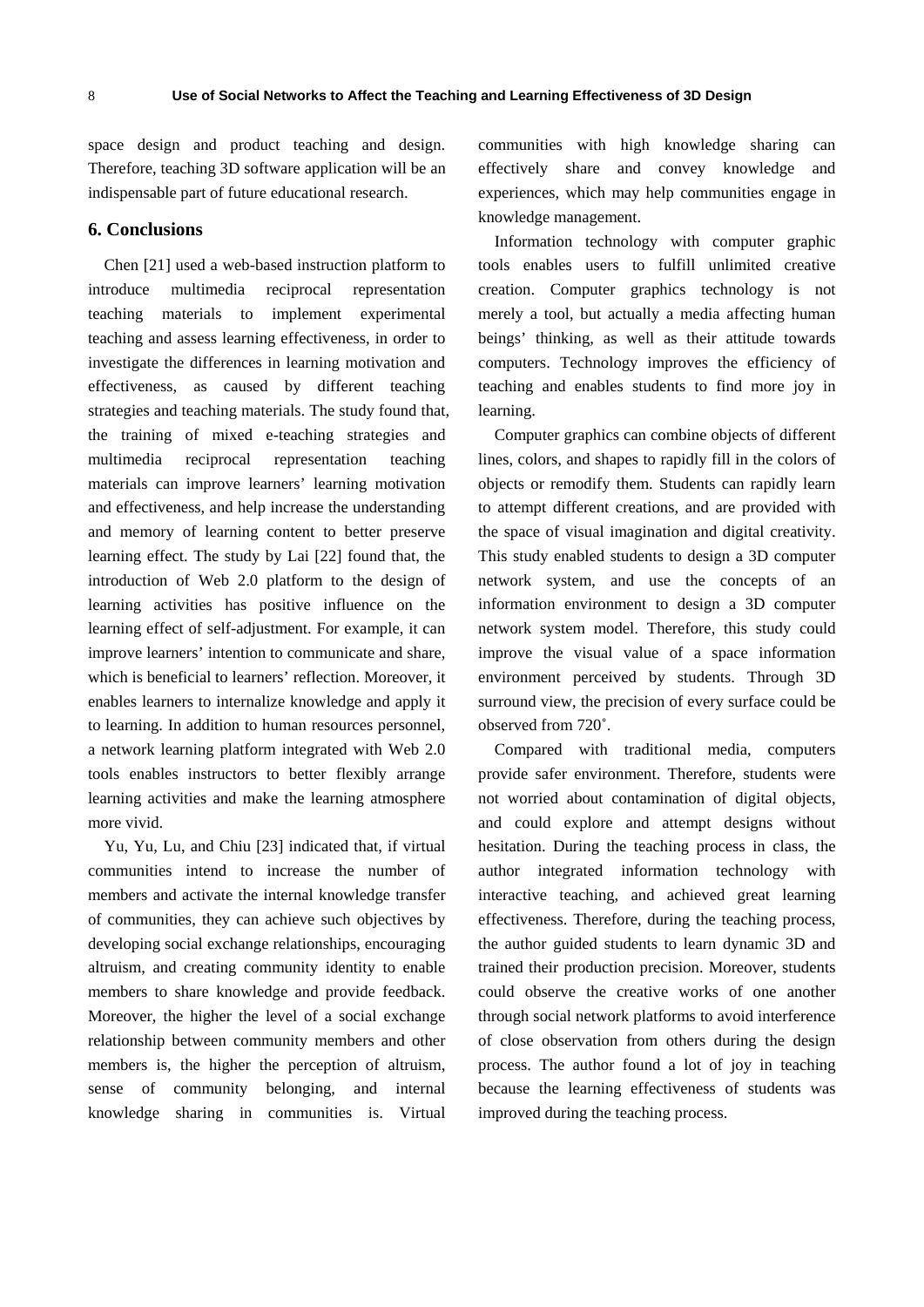space design and product teaching and design. Therefore, teaching 3D software application will be an indispensable part of future educational research.

# **6. Conclusions**

Chen [21] used a web-based instruction platform to introduce multimedia reciprocal representation teaching materials to implement experimental teaching and assess learning effectiveness, in order to investigate the differences in learning motivation and effectiveness, as caused by different teaching strategies and teaching materials. The study found that, the training of mixed e-teaching strategies and multimedia reciprocal representation teaching materials can improve learners' learning motivation and effectiveness, and help increase the understanding and memory of learning content to better preserve learning effect. The study by Lai [22] found that, the introduction of Web 2.0 platform to the design of learning activities has positive influence on the learning effect of self-adjustment. For example, it can improve learners' intention to communicate and share, which is beneficial to learners' reflection. Moreover, it enables learners to internalize knowledge and apply it to learning. In addition to human resources personnel, a network learning platform integrated with Web 2.0 tools enables instructors to better flexibly arrange learning activities and make the learning atmosphere more vivid.

Yu, Yu, Lu, and Chiu [23] indicated that, if virtual communities intend to increase the number of members and activate the internal knowledge transfer of communities, they can achieve such objectives by developing social exchange relationships, encouraging altruism, and creating community identity to enable members to share knowledge and provide feedback. Moreover, the higher the level of a social exchange relationship between community members and other members is, the higher the perception of altruism, sense of community belonging, and internal knowledge sharing in communities is. Virtual

communities with high knowledge sharing can effectively share and convey knowledge and experiences, which may help communities engage in knowledge management.

Information technology with computer graphic tools enables users to fulfill unlimited creative creation. Computer graphics technology is not merely a tool, but actually a media affecting human beings' thinking, as well as their attitude towards computers. Technology improves the efficiency of teaching and enables students to find more joy in learning.

Computer graphics can combine objects of different lines, colors, and shapes to rapidly fill in the colors of objects or remodify them. Students can rapidly learn to attempt different creations, and are provided with the space of visual imagination and digital creativity. This study enabled students to design a 3D computer network system, and use the concepts of an information environment to design a 3D computer network system model. Therefore, this study could improve the visual value of a space information environment perceived by students. Through 3D surround view, the precision of every surface could be observed from 720˚.

Compared with traditional media, computers provide safer environment. Therefore, students were not worried about contamination of digital objects, and could explore and attempt designs without hesitation. During the teaching process in class, the author integrated information technology with interactive teaching, and achieved great learning effectiveness. Therefore, during the teaching process, the author guided students to learn dynamic 3D and trained their production precision. Moreover, students could observe the creative works of one another through social network platforms to avoid interference of close observation from others during the design process. The author found a lot of joy in teaching because the learning effectiveness of students was improved during the teaching process.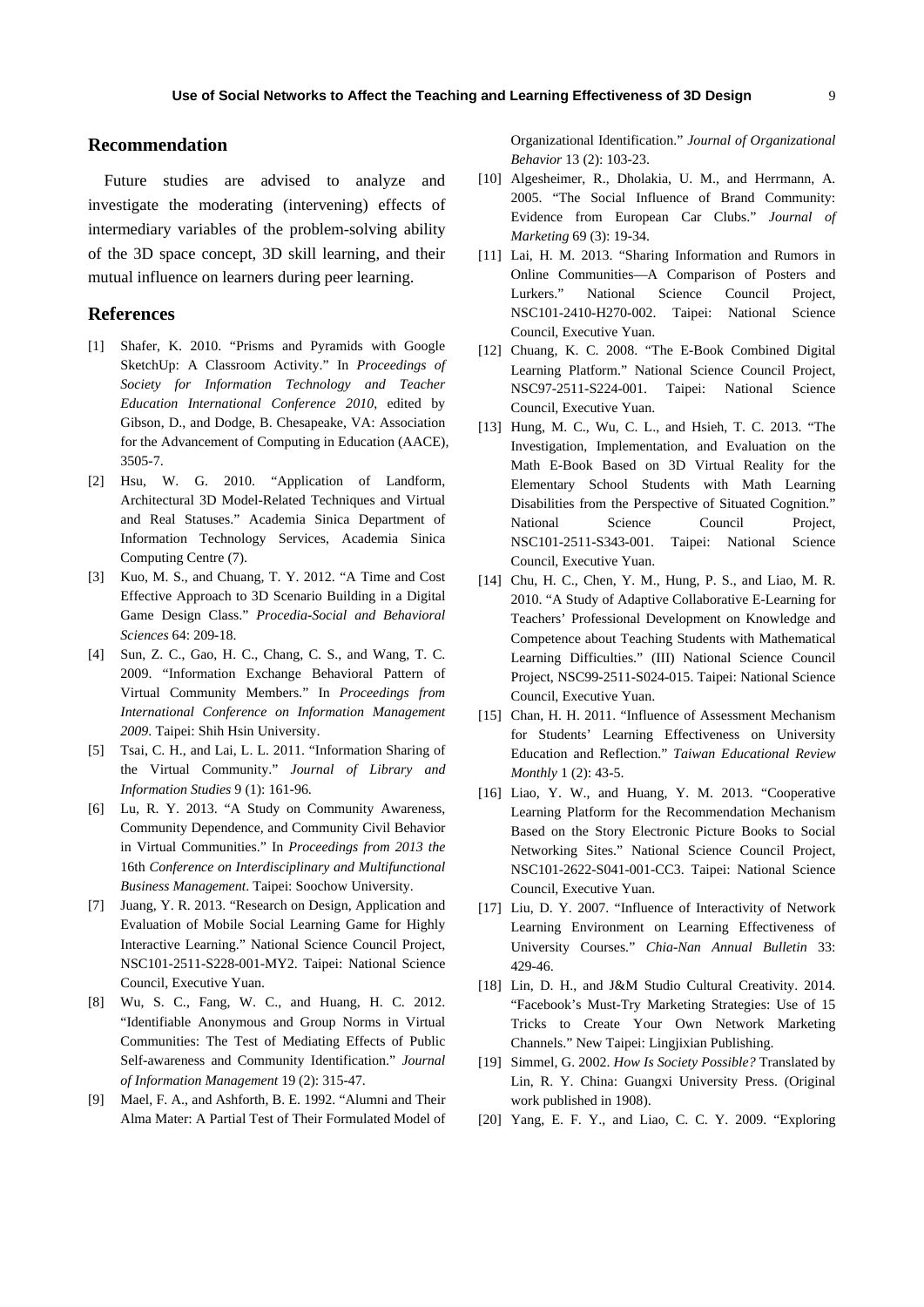# **Recommendation**

Future studies are advised to analyze and investigate the moderating (intervening) effects of intermediary variables of the problem-solving ability of the 3D space concept, 3D skill learning, and their mutual influence on learners during peer learning.

## **References**

- [1] Shafer, K. 2010. "Prisms and Pyramids with Google SketchUp: A Classroom Activity." In *Proceedings of Society for Information Technology and Teacher Education International Conference 2010*, edited by Gibson, D., and Dodge, B. Chesapeake, VA: Association for the Advancement of Computing in Education (AACE), 3505-7.
- [2] Hsu, W. G. 2010. "Application of Landform, Architectural 3D Model-Related Techniques and Virtual and Real Statuses." Academia Sinica Department of Information Technology Services, Academia Sinica Computing Centre (7).
- [3] Kuo, M. S., and Chuang, T. Y. 2012. "A Time and Cost Effective Approach to 3D Scenario Building in a Digital Game Design Class." *Procedia-Social and Behavioral Sciences* 64: 209-18.
- [4] Sun, Z. C., Gao, H. C., Chang, C. S., and Wang, T. C. 2009. "Information Exchange Behavioral Pattern of Virtual Community Members." In *Proceedings from International Conference on Information Management 2009*. Taipei: Shih Hsin University.
- [5] Tsai, C. H., and Lai, L. L. 2011. "Information Sharing of the Virtual Community." *Journal of Library and Information Studies* 9 (1): 161-96.
- [6] Lu, R. Y. 2013. "A Study on Community Awareness, Community Dependence, and Community Civil Behavior in Virtual Communities." In *Proceedings from 2013 the*  16th *Conference on Interdisciplinary and Multifunctional Business Management*. Taipei: Soochow University.
- [7] Juang, Y. R. 2013. "Research on Design, Application and Evaluation of Mobile Social Learning Game for Highly Interactive Learning." National Science Council Project, NSC101-2511-S228-001-MY2. Taipei: National Science Council, Executive Yuan.
- [8] Wu, S. C., Fang, W. C., and Huang, H. C. 2012. "Identifiable Anonymous and Group Norms in Virtual Communities: The Test of Mediating Effects of Public Self-awareness and Community Identification." *Journal of Information Management* 19 (2): 315-47.
- [9] Mael, F. A., and Ashforth, B. E. 1992. "Alumni and Their Alma Mater: A Partial Test of Their Formulated Model of

Organizational Identification." *Journal of Organizational Behavior* 13 (2): 103-23.

- [10] Algesheimer, R., Dholakia, U. M., and Herrmann, A. 2005. "The Social Influence of Brand Community: Evidence from European Car Clubs." *Journal of Marketing* 69 (3): 19-34.
- [11] Lai, H. M. 2013. "Sharing Information and Rumors in Online Communities—A Comparison of Posters and Lurkers." National Science Council Project, NSC101-2410-H270-002. Taipei: National Science Council, Executive Yuan.
- [12] Chuang, K. C. 2008. "The E-Book Combined Digital Learning Platform." National Science Council Project, NSC97-2511-S224-001. Taipei: National Science Council, Executive Yuan.
- [13] Hung, M. C., Wu, C. L., and Hsieh, T. C. 2013. "The Investigation, Implementation, and Evaluation on the Math E-Book Based on 3D Virtual Reality for the Elementary School Students with Math Learning Disabilities from the Perspective of Situated Cognition." National Science Council Project, NSC101-2511-S343-001. Taipei: National Science Council, Executive Yuan.
- [14] Chu, H. C., Chen, Y. M., Hung, P. S., and Liao, M. R. 2010. "A Study of Adaptive Collaborative E-Learning for Teachers' Professional Development on Knowledge and Competence about Teaching Students with Mathematical Learning Difficulties." (III) National Science Council Project, NSC99-2511-S024-015. Taipei: National Science Council, Executive Yuan.
- [15] Chan, H. H. 2011. "Influence of Assessment Mechanism for Students' Learning Effectiveness on University Education and Reflection." *Taiwan Educational Review Monthly* 1 (2): 43-5.
- [16] Liao, Y. W., and Huang, Y. M. 2013. "Cooperative Learning Platform for the Recommendation Mechanism Based on the Story Electronic Picture Books to Social Networking Sites." National Science Council Project, NSC101-2622-S041-001-CC3. Taipei: National Science Council, Executive Yuan.
- [17] Liu, D. Y. 2007. "Influence of Interactivity of Network Learning Environment on Learning Effectiveness of University Courses." *Chia-Nan Annual Bulletin* 33: 429-46.
- [18] Lin, D. H., and J&M Studio Cultural Creativity. 2014. "Facebook's Must-Try Marketing Strategies: Use of 15 Tricks to Create Your Own Network Marketing Channels." New Taipei: Lingjixian Publishing.
- [19] Simmel, G. 2002. *How Is Society Possible?* Translated by Lin, R. Y. China: Guangxi University Press. (Original work published in 1908).
- [20] Yang, E. F. Y., and Liao, C. C. Y. 2009. "Exploring